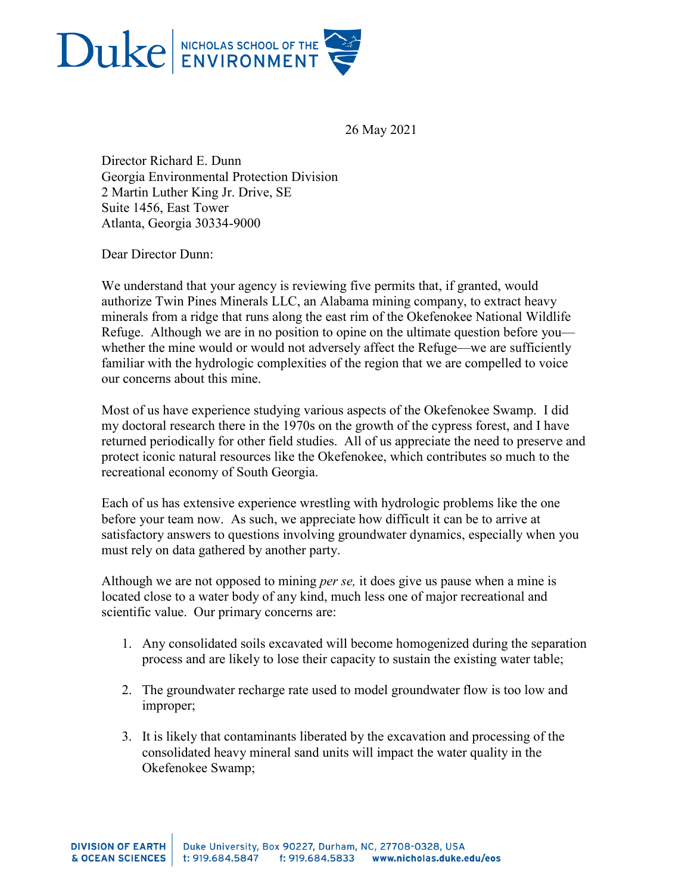

26 May 2021

Director Richard E. Dunn Georgia Environmental Protection Division 2 Martin Luther King Jr. Drive, SE Suite 1456, East Tower Atlanta, Georgia 30334-9000

Dear Director Dunn:

We understand that your agency is reviewing five permits that, if granted, would authorize Twin Pines Minerals LLC, an Alabama mining company, to extract heavy minerals from a ridge that runs along the east rim of the Okefenokee National Wildlife Refuge. Although we are in no position to opine on the ultimate question before you whether the mine would or would not adversely affect the Refuge—we are sufficiently familiar with the hydrologic complexities of the region that we are compelled to voice our concerns about this mine.

Most of us have experience studying various aspects of the Okefenokee Swamp. I did my doctoral research there in the 1970s on the growth of the cypress forest, and I have returned periodically for other field studies. All of us appreciate the need to preserve and protect iconic natural resources like the Okefenokee, which contributes so much to the recreational economy of South Georgia.

Each of us has extensive experience wrestling with hydrologic problems like the one before your team now. As such, we appreciate how difficult it can be to arrive at satisfactory answers to questions involving groundwater dynamics, especially when you must rely on data gathered by another party.

Although we are not opposed to mining *per se,* it does give us pause when a mine is located close to a water body of any kind, much less one of major recreational and scientific value. Our primary concerns are:

- 1. Any consolidated soils excavated will become homogenized during the separation process and are likely to lose their capacity to sustain the existing water table;
- 2. The groundwater recharge rate used to model groundwater flow is too low and improper;
- 3. It is likely that contaminants liberated by the excavation and processing of the consolidated heavy mineral sand units will impact the water quality in the Okefenokee Swamp;